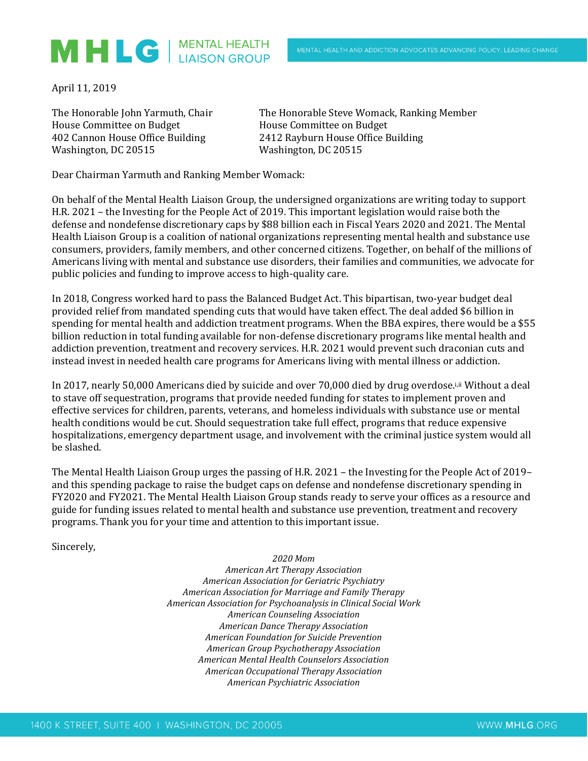## MHLG | MENTAL HEALTH

April 11, 2019

House Committee on Budget House Committee on Budget Washington, DC 20515 Washington, DC 20515

The Honorable John Yarmuth, Chair The Honorable Steve Womack, Ranking Member 402 Cannon House Office Building 2412 Rayburn House Office Building

Dear Chairman Yarmuth and Ranking Member Womack:

On behalf of the Mental Health Liaison Group, the undersigned organizations are writing today to support H.R. 2021 – the Investing for the People Act of 2019. This important legislation would raise both the defense and nondefense discretionary caps by \$88 billion each in Fiscal Years 2020 and 2021. The Mental Health Liaison Group is a coalition of national organizations representing mental health and substance use consumers, providers, family members, and other concerned citizens. Together, on behalf of the millions of Americans living with mental and substance use disorders, their families and communities, we advocate for public policies and funding to improve access to high-quality care.

In 2018, Congress worked hard to pass the Balanced Budget Act. This bipartisan, two-year budget deal provided relief from mandated spending cuts that would have taken effect. The deal added \$6 billion in spending for mental health and addiction treatment programs. When the BBA expires, there would be a \$55 billion reduction in total funding available for non-defense discretionary programs like mental health and addiction prevention, treatment and recovery services. H.R. 2021 would prevent such draconian cuts and instead invest in needed health care programs for Americans living with mental illness or addiction.

In 2017, nearly 50,000 Americans died by suicide and over 70,000 died by drug overdose.i,ii Without a deal to stave off sequestration, programs that provide needed funding for states to implement proven and effective services for children, parents, veterans, and homeless individuals with substance use or mental health conditions would be cut. Should sequestration take full effect, programs that reduce expensive hospitalizations, emergency department usage, and involvement with the criminal justice system would all be slashed.

The Mental Health Liaison Group urges the passing of H.R. 2021 – the Investing for the People Act of 2019– and this spending package to raise the budget caps on defense and nondefense discretionary spending in FY2020 and FY2021. The Mental Health Liaison Group stands ready to serve your offices as a resource and guide for funding issues related to mental health and substance use prevention, treatment and recovery programs. Thank you for your time and attention to this important issue.

Sincerely,

*2020 Mom American Art Therapy Association American Association for Geriatric Psychiatry American Association for Marriage and Family Therapy American Association for Psychoanalysis in Clinical Social Work American Counseling Association American Dance Therapy Association American Foundation for Suicide Prevention American Group Psychotherapy Association American Mental Health Counselors Association American Occupational Therapy Association American Psychiatric Association*